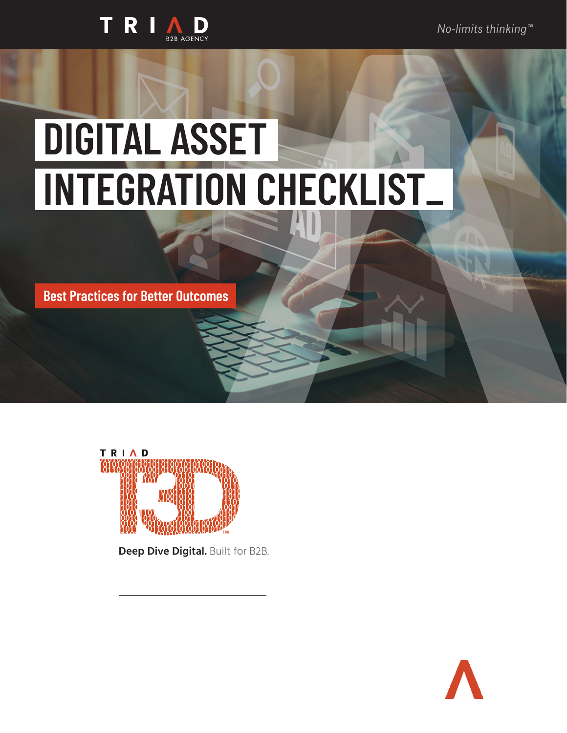*No-limits thinking™*



# **DIGITAL ASSET INTEGRATION CHECKLIST\_**

**Best Practices for Better Outcomes**



**Deep Dive Digital.** Built for B2B.

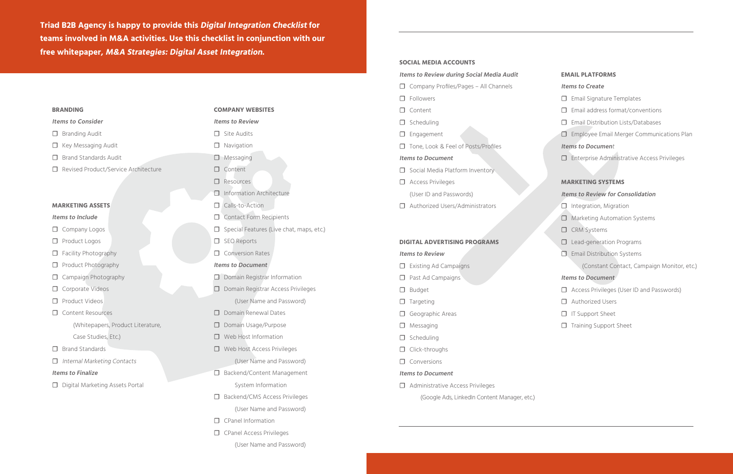### **BRANDING**

# **Items to Consider**

- □ Branding Audit
- □ Key Messaging Audit
- □ Brand Standards Audit
- ☐ Revised Product/Service Architecture

### **MARKETING ASSETS**

# **Items to Include**

- □ Company Logos
- ☐ Product Logos
- □ Facility Photography
- □ Product Photography
- □ Campaign Photography
- □ Corporate Videos
- ☐ Product Videos
- ☐ Content Resources
	- (Whitepapers, Product Literature,
	- Case Studies, Etc.)
- □ Brand Standards
- □ Internal Marketing Contacts
- □ Site Audits
- □ Navigation
- ☐ Messaging
- □ Content
- ☐ Resources
- □ Information Architecture
- □ Calls-to-Action
- □ Contact Form Recipients
- □ Special Features (Live chat, maps, etc.)
- ☐ SEO Reports
- ☐ Conversion Rates

# **Items to Finalize**

□ Digital Marketing Assets Portal

### **COMPANY WEBSITES**

### **Items to Review**

- □ Domain Registrar Information
- ☐ Domain Registrar Access Privileges (User Name and Password)
- □ Domain Renewal Dates
- □ Domain Usage/Purpose
- □ Web Host Information
- ☐ Web Host Access Privileges (User Name and Password)
- □ Backend/Content Management System Information
- ☐ Backend/CMS Access Privileges (User Name and Password)
- □ CPanel Information
- □ CPanel Access Privileges
	- (User Name and Password)

# **Items to Document**

- ☐ Access Privileges (User ID and Passwords)
- ☐ Authorized Users
- □ IT Support Sheet
- □ Training Support Sheet

# **SOCIAL MEDIA ACCOUNTS**

# **Items to Review during Social Media Audit**

- □ Company Profiles/Pages All Channels
- ☐ Followers
- ☐ Content
- ☐ Scheduling
- □ Engagement
- □ Tone, Look & Feel of Posts/Profiles

# **Items to Document**

- □ Social Media Platform Inventory
- □ Access Privileges

(User ID and Passwords)

□ Authorized Users/Administrators

# **DIGITAL ADVERTISING PROGRAMS**

# **Items to Review**

- □ Existing Ad Campaigns
- □ Past Ad Campaigns
- ☐ Budget
- □ Targeting
- □ Geographic Areas
- ☐ Messaging
- ☐ Scheduling
- □ Click-throughs
- □ Conversions

# **Items to Document**

☐ Administrative Access Privileges

(Google Ads, LinkedIn Content Manager, etc.)

### **EMAIL PLATFORMS**

### **Items to Create**

- □ Email Signature Templates
- $\Box$  Email address format/conventions
- ☐ Email Distribution Lists/Databases
- □ Employee Email Merger Communications Plan

# **Items to Documen**t

☐ Enterprise Administrative Access Privileges

# **MARKETING SYSTEMS**

# **Items to Review for Consolidation**

- □ Integration, Migration
- □ Marketing Automation Systems
- ☐ CRM Systems
- □ Lead-generation Programs
- **□ Email Distribution Systems**

(Constant Contact, Campaign Monitor, etc.)

# **Items to Document**

**Triad B2B Agency is happy to provide this Digital Integration Checklist for teams involved in M&A activities. Use this checklist in conjunction with our free whitepaper, M&A Strategies: Digital Asset Integration.**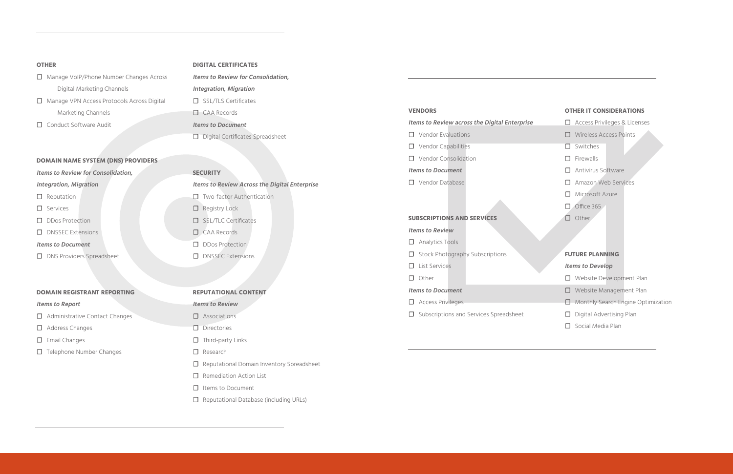# **OTHER**

- ☐ Manage VoIP/Phone Number Changes Across Digital Marketing Channels
- ☐ Manage VPN Access Protocols Across Digital Marketing Channels
- □ Conduct Software Audit

# **DOMAIN NAME SYSTEM (DNS) PROVIDERS**

# **Items to Review for Consolidation,**

# **Integration, Migration**

- □ Reputation
- ☐ Services
- ☐ DDos Protection
- □ DNSSEC Extensions
- **Items to Document**
- □ DNS Providers Spreadsheet

**Items to Review for Consolidation, Integration, Migration** □ SSL/TLS Certificates ☐ CAA Records **Items to Document** □ Digital Certificates Spreadsheet

# **DOMAIN REGISTRANT REPORTING**

# **Items to Report**

- □ Administrative Contact Changes
- □ Address Changes
- □ Email Changes
- □ Telephone Number Changes

# **DIGITAL CERTIFICATES**

- □ Analytics Tools
- □ Stock Photography Subscriptions
- ☐ List Services
- ☐ Other

# **SECURITY**

**Items to Review Across the Digital Enterprise** □ Two-factor Authentication ☐ Registry Lock □ SSL/TLC Certificates ☐ CAA Records

- □ DDos Protection
- □ DNSSEC Extensions

- ☐ Website Development Plan
- ☐ Website Management Plan
- ☐ Monthly Search Engine Optimization
- □ Digital Advertising Plan
- □ Social Media Plan

# **REPUTATIONAL CONTENT**

# **Items to Review**

- ☐ Associations
- □ Directories
- □ Third-party Links
- ☐ Research
- ☐ Reputational Domain Inventory Spreadsheet
- □ Remediation Action List
- ☐ Items to Document
- ☐ Reputational Database (including URLs)

# **VENDORS**

# **Items to Review across the Digital Enterprise**

- ☐ Vendor Evaluations
- ☐ Vendor Capabilities
- ☐ Vendor Consolidation

# **Items to Document**

☐ Vendor Database

# **SUBSCRIPTIONS AND SERVICES**

# **Items to Review**

# **Items to Document**

- ☐ Access Privileges
- ☐ Subscriptions and Services Spreadsheet

# **OTHER IT CONSIDERATIONS**

- ☐ Access Privileges & Licenses
- ☐ Wireless Access Points
- ☐ Switches
- ☐ Firewalls
- □ Antivirus Software
- □ Amazon Web Services
- ☐ Microsoft Azure
- ☐ Office 365
- ☐ Other

# **FUTURE PLANNING**

# **Items to Develop**